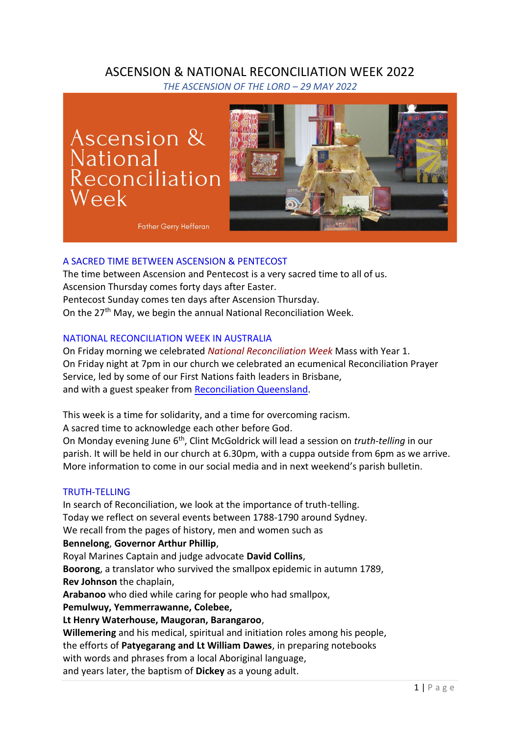# ASCENSION & NATIONAL RECONCILIATION WEEK 2022

*THE ASCENSION OF THE LORD – 29 MAY 2022*

Ascension & National<br>Reconciliation Week



**Father Gerry Hefferan** 

# A SACRED TIME BETWEEN ASCENSION & PENTECOST

The time between Ascension and Pentecost is a very sacred time to all of us. Ascension Thursday comes forty days after Easter. Pentecost Sunday comes ten days after Ascension Thursday. On the 27<sup>th</sup> May, we begin the annual National Reconciliation Week.

# NATIONAL RECONCILIATION WEEK IN AUSTRALIA

On Friday morning we celebrated *National Reconciliation Week* Mass with Year 1. On Friday night at 7pm in our church we celebrated an ecumenical Reconciliation Prayer Service, led by some of our First Nations faith leaders in Brisbane, and with a guest speaker from [Reconciliation Queensland.](https://www.rqi.org.au/)

This week is a time for solidarity, and a time for overcoming racism.

A sacred time to acknowledge each other before God.

On Monday evening June 6<sup>th</sup>, Clint McGoldrick will lead a session on *truth-telling* in our parish. It will be held in our church at 6.30pm, with a cuppa outside from 6pm as we arrive. More information to come in our social media and in next weekend's parish bulletin.

## TRUTH-TELLING

In search of Reconciliation, we look at the importance of truth-telling. Today we reflect on several events between 1788-1790 around Sydney. We recall from the pages of history, men and women such as **Bennelong**, **Governor Arthur Phillip**, Royal Marines Captain and judge advocate **David Collins**, **Boorong**, a translator who survived the smallpox epidemic in autumn 1789, **Rev Johnson** the chaplain, **Arabanoo** who died while caring for people who had smallpox, **Pemulwuy, Yemmerrawanne, Colebee, Lt Henry Waterhouse, Maugoran, Barangaroo**, **Willemering** and his medical, spiritual and initiation roles among his people, the efforts of **Patyegarang and Lt William Dawes**, in preparing notebooks with words and phrases from a local Aboriginal language,

and years later, the baptism of **Dickey** as a young adult.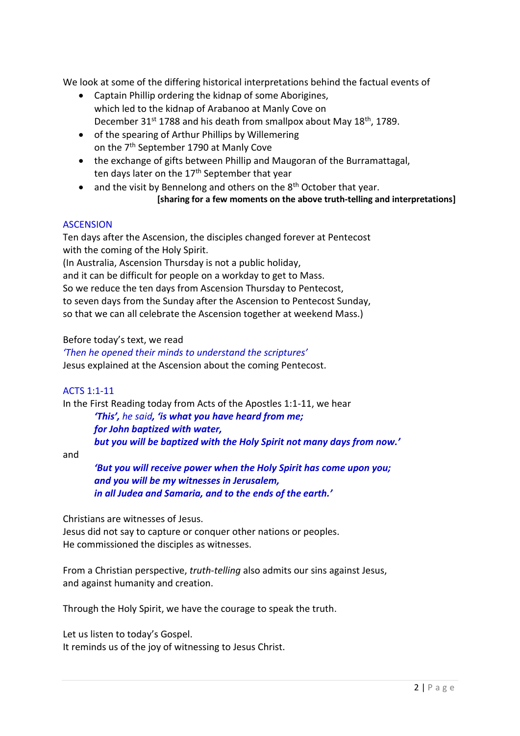We look at some of the differing historical interpretations behind the factual events of

- Captain Phillip ordering the kidnap of some Aborigines, which led to the kidnap of Arabanoo at Manly Cove on December 31<sup>st</sup> 1788 and his death from smallpox about May 18<sup>th</sup>, 1789.
- of the spearing of Arthur Phillips by Willemering on the 7th September 1790 at Manly Cove
- the exchange of gifts between Phillip and Maugoran of the Burramattagal, ten days later on the 17<sup>th</sup> September that year
- and the visit by Bennelong and others on the  $8<sup>th</sup>$  October that year. **[sharing for a few moments on the above truth-telling and interpretations]**

### ASCENSION

Ten days after the Ascension, the disciples changed forever at Pentecost with the coming of the Holy Spirit.

(In Australia, Ascension Thursday is not a public holiday,

and it can be difficult for people on a workday to get to Mass.

So we reduce the ten days from Ascension Thursday to Pentecost,

to seven days from the Sunday after the Ascension to Pentecost Sunday,

so that we can all celebrate the Ascension together at weekend Mass.)

Before today's text, we read

*'Then he opened their minds to understand the scriptures'*  Jesus explained at the Ascension about the coming Pentecost.

#### ACTS 1:1-11

In the First Reading today from Acts of the Apostles 1:1-11, we hear

*'This', he said, 'is what you have heard from me; for John baptized with water, but you will be baptized with the Holy Spirit not many days from now.'* 

and

*'But you will receive power when the Holy Spirit has come upon you; and you will be my witnesses in Jerusalem, in all Judea and Samaria, and to the ends of the earth.'* 

Christians are witnesses of Jesus.

Jesus did not say to capture or conquer other nations or peoples. He commissioned the disciples as witnesses.

From a Christian perspective, *truth-telling* also admits our sins against Jesus, and against humanity and creation.

Through the Holy Spirit, we have the courage to speak the truth.

Let us listen to today's Gospel. It reminds us of the joy of witnessing to Jesus Christ.